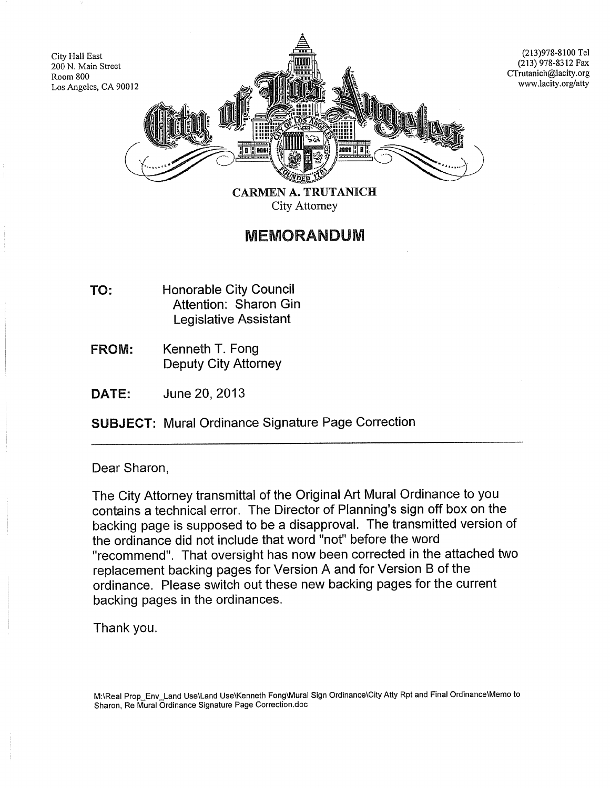

{213)978-8100 Tel (213) 978-8312 Fax CTrutanich@lacity.org www.lacity.org/atty

City Attorney

## MEMORANDUM

- TO: Honorable City Council Attention: Sharon Gin Legislative Assistant
- FROM: Kenneth T. Fong Deputy City Attorney
- DATE: June 20, 2013

SUBJECT: Mural Ordinance Signature Page Correction

## Dear Sharon,

City Hall East

Room 800

The City Attorney transmittal of the Original Art Mural Ordinance to you contains a technical error. The Director of Planning's sign off box on the backing page is supposed to be a disapproval. The transmitted version of the ordinance did not include that word "not" before the word "recommend". That oversight has now been corrected in the attached two replacement backing pages for Version A and for Version B of the ordinance. Please switch out these new backing pages for the current backing pages in the ordinances.

Thank you.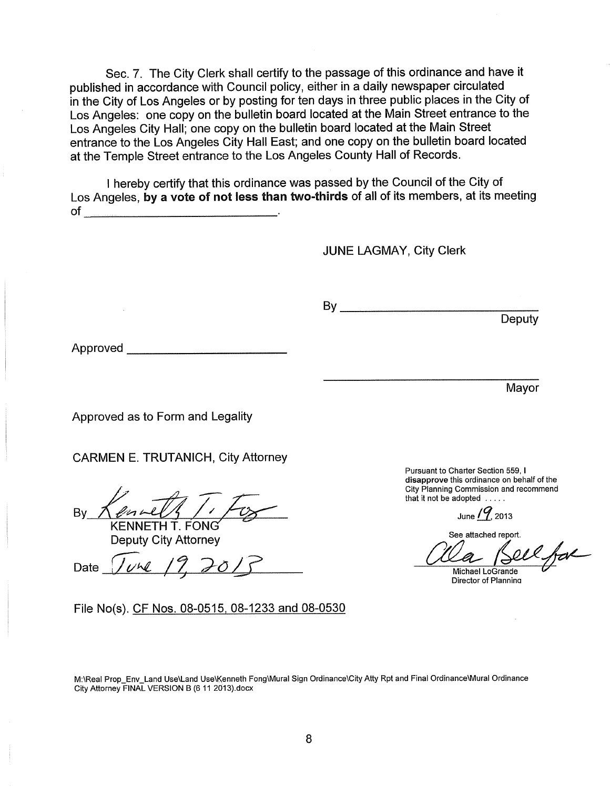Sec. 7. The City Clerk shall certify to the passage of this ordinance and have it published in accordance with Council policy, either in a daily newspaper circulated in the City of Los Angeles or by posting for ten days in three public places in the City of Los Angeles: one copy on the bulletin board located at the Main Street entrance to the Los Angeles City Hall; one copy on the bulletin board located at the Main Street entrance to the Los Angeles City Hall East; and one copy on the bulletin board located at the Temple Street entrance to the Los Angeles County Hall of Records.

I hereby certify that this ordinance was passed by the Council of the City of Los Angeles, by a vote of not less than two-thirds of all of its members, at its meeting of

JUNE LAGMAY, City Clerk

By \_\_\_\_\_\_\_\_\_\_\_\_\_\_\_\_\_\_\_\_\_\_\_\_ \_

Approved-----------

Mayor

**Deputy** 

Approved as to Form and Legality

CARMEN E. TRUTANICH, City Attorney

 $p\rightarrow$ By  $N$  entity  $\frac{1}{2}$ 

KENNETH T. FONG Deputy City Attorney

Date  $\sqrt{\nu}$  19,  $201$ <sup>2</sup>

File No(s). CF Nos. 08-0515, 08-1233 and 08-0530

Pursuant to Charter Section 559, I disapprove this ordinance on behalf of the City Planning Commission and recommend that it not be adopted .....

June  $/$ <sup>9</sup>, 2013

See attached report.

al

Michael LoGrande Director of Planning

M:\Real Prop\_Env\_Land Use\Land Use\Kenneth Fong\Mural Sign Ordinance\City Atty Rpt and Final Ordinance\Mural Ordinance City Attorney FINAL VERSION B (6 11 2013).docx